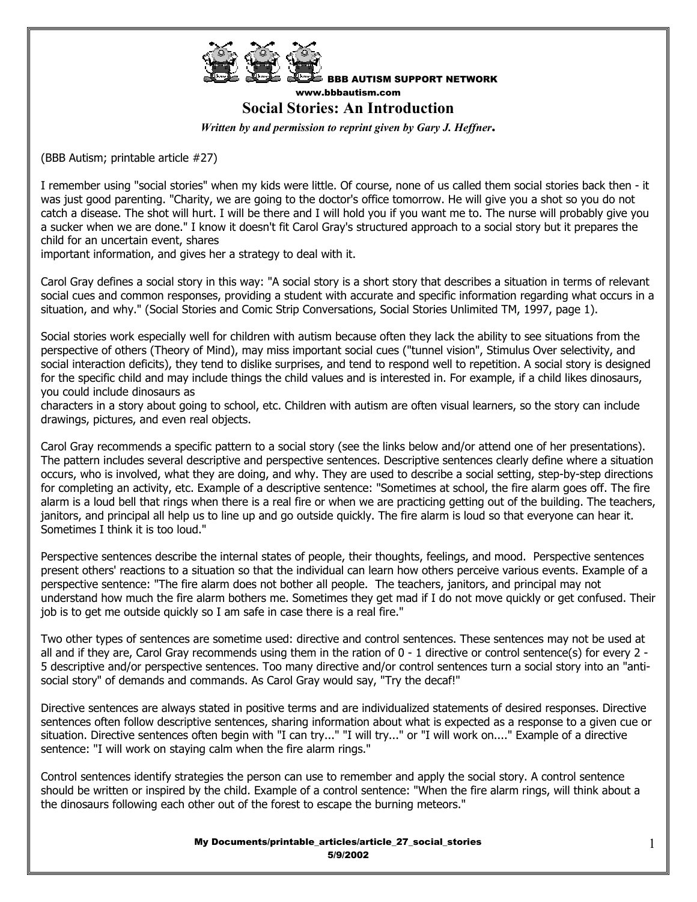

BBB AUTISM SUPPORT NETWORK www.bbbautism.com

**Social Stories: An Introduction** 

*Written by and permission to reprint given by Gary J. Heffner***.** 

(BBB Autism; printable article #27)

I remember using "social stories" when my kids were little. Of course, none of us called them social stories back then - it was just good parenting. "Charity, we are going to the doctor's office tomorrow. He will give you a shot so you do not catch a disease. The shot will hurt. I will be there and I will hold you if you want me to. The nurse will probably give you a sucker when we are done." I know it doesn't fit Carol Gray's structured approach to a social story but it prepares the child for an uncertain event, shares

important information, and gives her a strategy to deal with it.

Carol Gray defines a social story in this way: "A social story is a short story that describes a situation in terms of relevant social cues and common responses, providing a student with accurate and specific information regarding what occurs in a situation, and why." (Social Stories and Comic Strip Conversations, Social Stories Unlimited TM, 1997, page 1).

Social stories work especially well for children with autism because often they lack the ability to see situations from the perspective of others (Theory of Mind), may miss important social cues ("tunnel vision", Stimulus Over selectivity, and social interaction deficits), they tend to dislike surprises, and tend to respond well to repetition. A social story is designed for the specific child and may include things the child values and is interested in. For example, if a child likes dinosaurs, you could include dinosaurs as

characters in a story about going to school, etc. Children with autism are often visual learners, so the story can include drawings, pictures, and even real objects.

Carol Gray recommends a specific pattern to a social story (see the links below and/or attend one of her presentations). The pattern includes several descriptive and perspective sentences. Descriptive sentences clearly define where a situation occurs, who is involved, what they are doing, and why. They are used to describe a social setting, step-by-step directions for completing an activity, etc. Example of a descriptive sentence: "Sometimes at school, the fire alarm goes off. The fire alarm is a loud bell that rings when there is a real fire or when we are practicing getting out of the building. The teachers, janitors, and principal all help us to line up and go outside quickly. The fire alarm is loud so that everyone can hear it. Sometimes I think it is too loud."

Perspective sentences describe the internal states of people, their thoughts, feelings, and mood. Perspective sentences present others' reactions to a situation so that the individual can learn how others perceive various events. Example of a perspective sentence: "The fire alarm does not bother all people. The teachers, janitors, and principal may not understand how much the fire alarm bothers me. Sometimes they get mad if I do not move quickly or get confused. Their job is to get me outside quickly so I am safe in case there is a real fire."

Two other types of sentences are sometime used: directive and control sentences. These sentences may not be used at all and if they are, Carol Gray recommends using them in the ration of 0 - 1 directive or control sentence(s) for every 2 -5 descriptive and/or perspective sentences. Too many directive and/or control sentences turn a social story into an "antisocial story" of demands and commands. As Carol Gray would say, "Try the decaf!"

Directive sentences are always stated in positive terms and are individualized statements of desired responses. Directive sentences often follow descriptive sentences, sharing information about what is expected as a response to a given cue or situation. Directive sentences often begin with "I can try..." "I will try..." or "I will work on...." Example of a directive sentence: "I will work on staying calm when the fire alarm rings."

Control sentences identify strategies the person can use to remember and apply the social story. A control sentence should be written or inspired by the child. Example of a control sentence: "When the fire alarm rings, will think about a the dinosaurs following each other out of the forest to escape the burning meteors."

> My Documents/printable\_articles/article\_27\_social\_stories 5/9/2002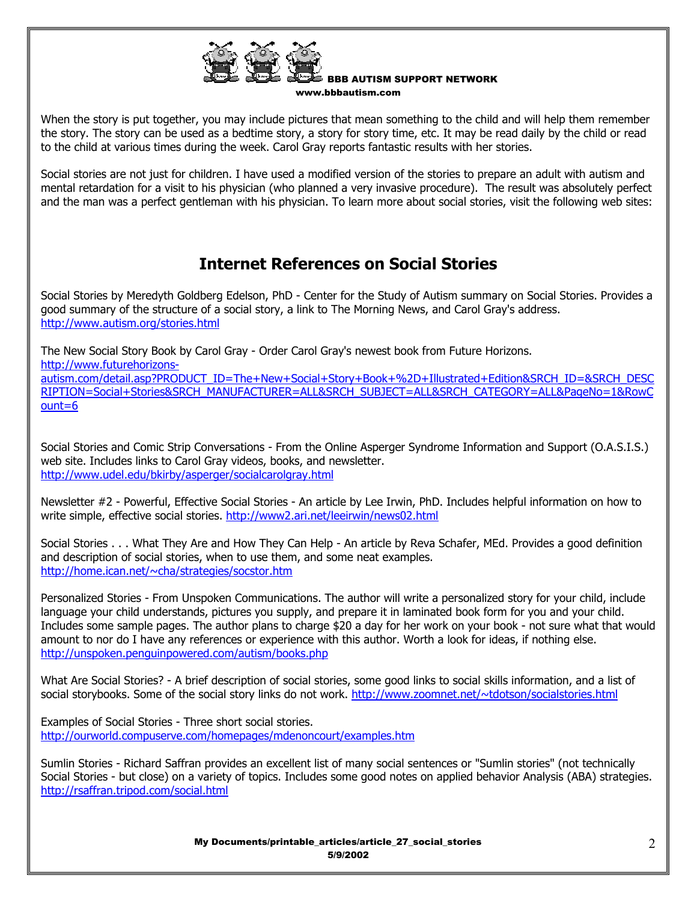

BBB AUTISM SUPPORT NETWORK www.bbbautism.com

When the story is put together, you may include pictures that mean something to the child and will help them remember the story. The story can be used as a bedtime story, a story for story time, etc. It may be read daily by the child or read to the child at various times during the week. Carol Gray reports fantastic results with her stories.

Social stories are not just for children. I have used a modified version of the stories to prepare an adult with autism and mental retardation for a visit to his physician (who planned a very invasive procedure). The result was absolutely perfect and the man was a perfect gentleman with his physician. To learn more about social stories, visit the following web sites:

## **Internet References on Social Stories**

Social Stories by Meredyth Goldberg Edelson, PhD - Center for the Study of Autism summary on Social Stories. Provides a good summary of the structure of a social story, a link to The Morning News, and Carol Gray's address. http://www.autism.org/stories.html

The New Social Story Book by Carol Gray - Order Carol Gray's newest book from Future Horizons. http://www.futurehorizonsautism.com/detail.asp?PRODUCT\_ID=The+New+Social+Story+Book+%2D+Illustrated+Edition&SRCH\_ID=&SRCH\_DESC RIPTION=Social+Stories&SRCH\_MANUFACTURER=ALL&SRCH\_SUBJECT=ALL&SRCH\_CATEGORY=ALL&PageNo=1&RowC ount=6

Social Stories and Comic Strip Conversations - From the Online Asperger Syndrome Information and Support (O.A.S.I.S.) web site. Includes links to Carol Gray videos, books, and newsletter. http://www.udel.edu/bkirby/asperger/socialcarolgray.html

Newsletter #2 - Powerful, Effective Social Stories - An article by Lee Irwin, PhD. Includes helpful information on how to write simple, effective social stories. http://www2.ari.net/leeirwin/news02.html

Social Stories . . . What They Are and How They Can Help - An article by Reva Schafer, MEd. Provides a good definition and description of social stories, when to use them, and some neat examples. http://home.ican.net/~cha/strategies/socstor.htm

Personalized Stories - From Unspoken Communications. The author will write a personalized story for your child, include language your child understands, pictures you supply, and prepare it in laminated book form for you and your child. Includes some sample pages. The author plans to charge \$20 a day for her work on your book - not sure what that would amount to nor do I have any references or experience with this author. Worth a look for ideas, if nothing else. http://unspoken.penguinpowered.com/autism/books.php

What Are Social Stories? - A brief description of social stories, some good links to social skills information, and a list of social storybooks. Some of the social story links do not work. http://www.zoomnet.net/~tdotson/socialstories.html

Examples of Social Stories - Three short social stories. http://ourworld.compuserve.com/homepages/mdenoncourt/examples.htm

Sumlin Stories - Richard Saffran provides an excellent list of many social sentences or "Sumlin stories" (not technically Social Stories - but close) on a variety of topics. Includes some good notes on applied behavior Analysis (ABA) strategies. http://rsaffran.tripod.com/social.html